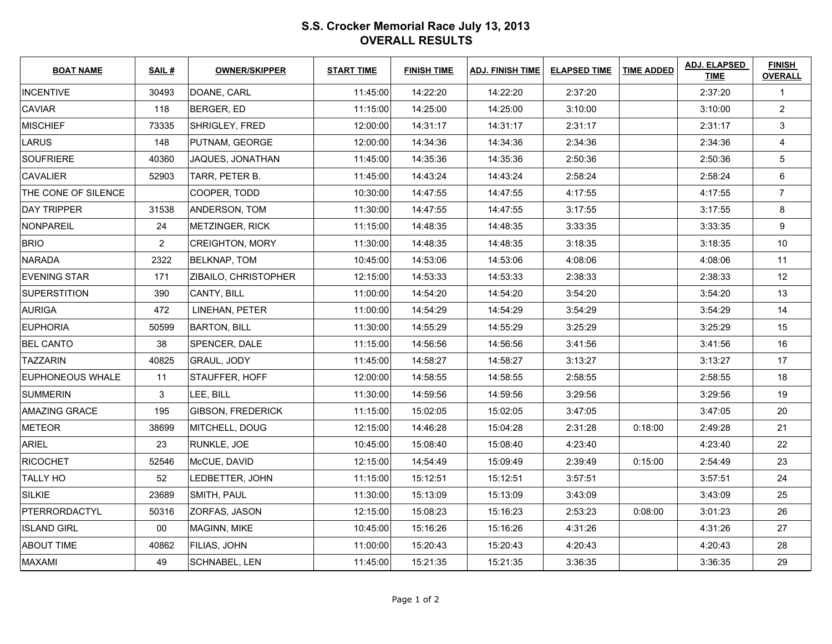## **S.S. Crocker Memorial Race July 13, 2013OVERALL RESULTS**

| <b>BOAT NAME</b>        | <b>SAIL#</b>   | <b>OWNER/SKIPPER</b>     | <b>START TIME</b> | <b>FINISH TIME</b> | <b>ADJ. FINISH TIME</b> | <b>ELAPSED TIME</b> | <b>TIME ADDED</b> | <b>ADJ. ELAPSED</b><br><b>TIME</b> | <b>FINISH</b><br><b>OVERALL</b> |
|-------------------------|----------------|--------------------------|-------------------|--------------------|-------------------------|---------------------|-------------------|------------------------------------|---------------------------------|
| <b>INCENTIVE</b>        | 30493          | DOANE, CARL              | 11:45:00          | 14:22:20           | 14:22:20                | 2:37:20             |                   | 2:37:20                            | $\mathbf{1}$                    |
| <b>CAVIAR</b>           | 118            | <b>BERGER, ED</b>        | 11:15:00          | 14:25:00           | 14:25:00                | 3:10:00             |                   | 3:10:00                            | $\overline{2}$                  |
| <b>MISCHIEF</b>         | 73335          | <b>SHRIGLEY, FRED</b>    | 12:00:00          | 14:31:17           | 14:31:17                | 2:31:17             |                   | 2:31:17                            | $\mathbf{3}$                    |
| <b>LARUS</b>            | 148            | PUTNAM, GEORGE           | 12:00:00          | 14:34:36           | 14:34:36                | 2:34:36             |                   | 2:34:36                            | $\overline{4}$                  |
| <b>SOUFRIERE</b>        | 40360          | JAQUES, JONATHAN         | 11:45:00          | 14:35:36           | 14:35:36                | 2:50:36             |                   | 2:50:36                            | $\sqrt{5}$                      |
| <b>CAVALIER</b>         | 52903          | TARR, PETER B.           | 11:45:00          | 14:43:24           | 14:43:24                | 2:58:24             |                   | 2:58:24                            | 6                               |
| THE CONE OF SILENCE     |                | COOPER, TODD             | 10:30:00          | 14:47:55           | 14:47:55                | 4:17:55             |                   | 4:17:55                            | $\overline{7}$                  |
| <b>DAY TRIPPER</b>      | 31538          | ANDERSON, TOM            | 11:30:00          | 14:47:55           | 14:47:55                | 3:17:55             |                   | 3:17:55                            | 8                               |
| NONPAREIL               | 24             | <b>METZINGER, RICK</b>   | 11:15:00          | 14:48:35           | 14:48:35                | 3:33:35             |                   | 3:33:35                            | 9                               |
| <b>BRIO</b>             | $\overline{2}$ | <b>CREIGHTON, MORY</b>   | 11:30:00          | 14:48:35           | 14:48:35                | 3:18:35             |                   | 3:18:35                            | 10                              |
| <b>NARADA</b>           | 2322           | <b>BELKNAP, TOM</b>      | 10:45:00          | 14:53:06           | 14:53:06                | 4:08:06             |                   | 4:08:06                            | 11                              |
| <b>EVENING STAR</b>     | 171            | ZIBAILO, CHRISTOPHER     | 12:15:00          | 14:53:33           | 14:53:33                | 2:38:33             |                   | 2:38:33                            | 12                              |
| <b>SUPERSTITION</b>     | 390            | CANTY, BILL              | 11:00:00          | 14:54:20           | 14:54:20                | 3:54:20             |                   | 3:54:20                            | 13                              |
| <b>AURIGA</b>           | 472            | LINEHAN, PETER           | 11:00:00          | 14:54:29           | 14:54:29                | 3:54:29             |                   | 3:54:29                            | 14                              |
| <b>EUPHORIA</b>         | 50599          | <b>BARTON, BILL</b>      | 11:30:00          | 14:55:29           | 14:55:29                | 3:25:29             |                   | 3:25:29                            | 15                              |
| <b>BEL CANTO</b>        | 38             | SPENCER, DALE            | 11:15:00          | 14:56:56           | 14:56:56                | 3:41:56             |                   | 3:41:56                            | 16                              |
| <b>TAZZARIN</b>         | 40825          | <b>GRAUL, JODY</b>       | 11:45:00          | 14:58:27           | 14:58:27                | 3:13:27             |                   | 3:13:27                            | 17                              |
| <b>EUPHONEOUS WHALE</b> | 11             | STAUFFER, HOFF           | 12:00:00          | 14:58:55           | 14:58:55                | 2:58:55             |                   | 2:58:55                            | 18                              |
| <b>SUMMERIN</b>         | 3              | LEE, BILL                | 11:30:00          | 14:59:56           | 14:59:56                | 3:29:56             |                   | 3:29:56                            | 19                              |
| <b>AMAZING GRACE</b>    | 195            | <b>GIBSON, FREDERICK</b> | 11:15:00          | 15:02:05           | 15:02:05                | 3:47:05             |                   | 3:47:05                            | 20                              |
| <b>METEOR</b>           | 38699          | MITCHELL, DOUG           | 12:15:00          | 14:46:28           | 15:04:28                | 2:31:28             | 0:18:00           | 2:49:28                            | 21                              |
| <b>ARIEL</b>            | 23             | RUNKLE, JOE              | 10:45:00          | 15:08:40           | 15:08:40                | 4:23:40             |                   | 4:23:40                            | 22                              |
| RICOCHET                | 52546          | McCUE, DAVID             | 12:15:00          | 14:54:49           | 15:09:49                | 2:39:49             | 0:15:00           | 2:54:49                            | 23                              |
| <b>TALLY HO</b>         | 52             | LEDBETTER, JOHN          | 11:15:00          | 15:12:51           | 15:12:51                | 3:57:51             |                   | 3:57:51                            | 24                              |
| SILKIE                  | 23689          | SMITH, PAUL              | 11:30:00          | 15:13:09           | 15:13:09                | 3:43:09             |                   | 3:43:09                            | 25                              |
| PTERRORDACTYL           | 50316          | ZORFAS, JASON            | 12:15:00          | 15:08:23           | 15:16:23                | 2:53:23             | 0:08:00           | 3:01:23                            | 26                              |
| <b>ISLAND GIRL</b>      | $00\,$         | MAGINN, MIKE             | 10:45:00          | 15:16:26           | 15:16:26                | 4:31:26             |                   | 4:31:26                            | 27                              |
| <b>ABOUT TIME</b>       | 40862          | <b>FILIAS, JOHN</b>      | 11:00:00          | 15:20:43           | 15:20:43                | 4:20:43             |                   | 4:20:43                            | 28                              |
| <b>MAXAMI</b>           | 49             | <b>SCHNABEL, LEN</b>     | 11:45:00          | 15:21:35           | 15:21:35                | 3:36:35             |                   | 3:36:35                            | 29                              |